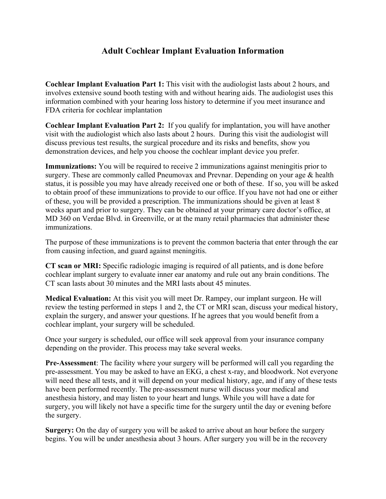## **Adult Cochlear Implant Evaluation Information**

**Cochlear Implant Evaluation Part 1:** This visit with the audiologist lasts about 2 hours, and involves extensive sound booth testing with and without hearing aids. The audiologist uses this information combined with your hearing loss history to determine if you meet insurance and FDA criteria for cochlear implantation

**Cochlear Implant Evaluation Part 2:** If you qualify for implantation, you will have another visit with the audiologist which also lasts about 2 hours. During this visit the audiologist will discuss previous test results, the surgical procedure and its risks and benefits, show you demonstration devices, and help you choose the cochlear implant device you prefer.

**Immunizations:** You will be required to receive 2 immunizations against meningitis prior to surgery. These are commonly called Pneumovax and Prevnar. Depending on your age & health status, it is possible you may have already received one or both of these. If so, you will be asked to obtain proof of these immunizations to provide to our office. If you have not had one or either of these, you will be provided a prescription. The immunizations should be given at least 8 weeks apart and prior to surgery. They can be obtained at your primary care doctor's office, at MD 360 on Verdae Blvd. in Greenville, or at the many retail pharmacies that administer these immunizations.

The purpose of these immunizations is to prevent the common bacteria that enter through the ear from causing infection, and guard against meningitis.

**CT scan or MRI:** Specific radiologic imaging is required of all patients, and is done before cochlear implant surgery to evaluate inner ear anatomy and rule out any brain conditions. The CT scan lasts about 30 minutes and the MRI lasts about 45 minutes.

**Medical Evaluation:** At this visit you will meet Dr. Rampey, our implant surgeon. He will review the testing performed in steps 1 and 2, the CT or MRI scan, discuss your medical history, explain the surgery, and answer your questions. If he agrees that you would benefit from a cochlear implant, your surgery will be scheduled.

Once your surgery is scheduled, our office will seek approval from your insurance company depending on the provider. This process may take several weeks.

**Pre-Assessment**: The facility where your surgery will be performed will call you regarding the pre-assessment. You may be asked to have an EKG, a chest x-ray, and bloodwork. Not everyone will need these all tests, and it will depend on your medical history, age, and if any of these tests have been performed recently. The pre-assessment nurse will discuss your medical and anesthesia history, and may listen to your heart and lungs. While you will have a date for surgery, you will likely not have a specific time for the surgery until the day or evening before the surgery.

**Surgery:** On the day of surgery you will be asked to arrive about an hour before the surgery begins. You will be under anesthesia about 3 hours. After surgery you will be in the recovery